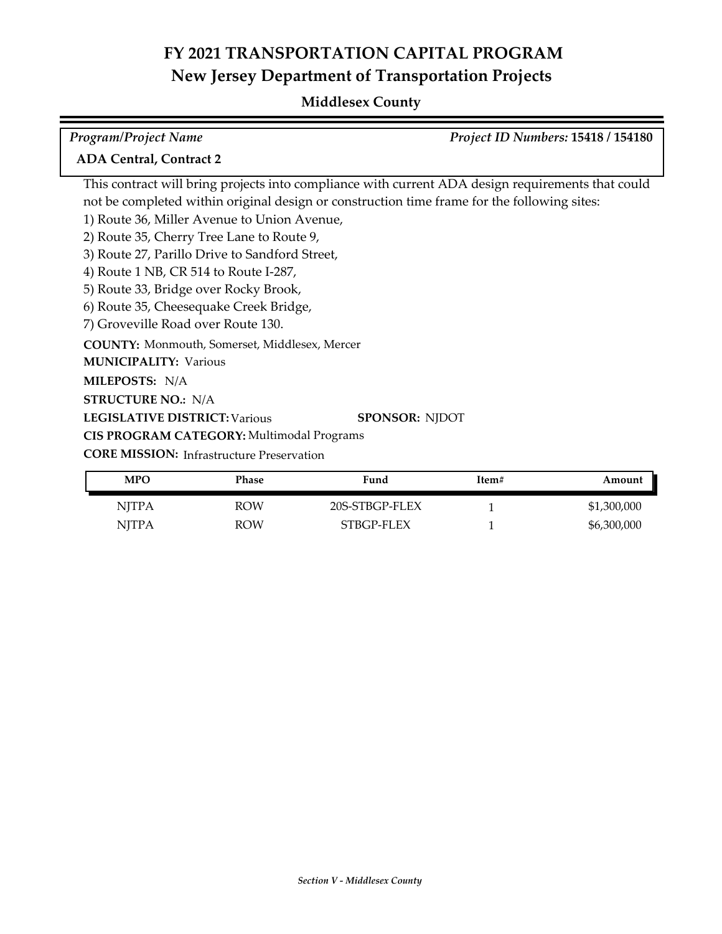## **Middlesex County**

| <b>Program/Project Name</b>                                                                 | Project ID Numbers: 15418 / 154180                                                                |
|---------------------------------------------------------------------------------------------|---------------------------------------------------------------------------------------------------|
| <b>ADA Central, Contract 2</b>                                                              |                                                                                                   |
|                                                                                             | This contract will bring projects into compliance with current ADA design requirements that could |
| not be completed within original design or construction time frame for the following sites: |                                                                                                   |
| 1) Route 36, Miller Avenue to Union Avenue,                                                 |                                                                                                   |
| 2) Route 35, Cherry Tree Lane to Route 9,                                                   |                                                                                                   |
| 3) Route 27, Parillo Drive to Sandford Street,                                              |                                                                                                   |
| 4) Route 1 NB, CR 514 to Route I-287,                                                       |                                                                                                   |
| 5) Route 33, Bridge over Rocky Brook,                                                       |                                                                                                   |
| 6) Route 35, Cheesequake Creek Bridge,                                                      |                                                                                                   |
| 7) Groveville Road over Route 130.                                                          |                                                                                                   |
| <b>COUNTY:</b> Monmouth, Somerset, Middlesex, Mercer                                        |                                                                                                   |
| <b>MUNICIPALITY: Various</b>                                                                |                                                                                                   |
| MILEPOSTS: N/A                                                                              |                                                                                                   |
| <b>STRUCTURE NO.: N/A</b>                                                                   |                                                                                                   |
| <b>LEGISLATIVE DISTRICT: Various</b>                                                        | <b>SPONSOR: NJDOT</b>                                                                             |
| CIS PROGRAM CATEGORY: Multimodal Programs                                                   |                                                                                                   |
| <b>CORE MISSION:</b> Infrastructure Preservation                                            |                                                                                                   |

| <b>MPO</b> | Phase      | Fund           | Item# | Amount      |
|------------|------------|----------------|-------|-------------|
| NJTPA      | <b>ROW</b> | 20S-STBGP-FLEX |       | \$1,300,000 |
| NITPA      | <b>ROW</b> | STBGP-FLEX     |       | \$6,300,000 |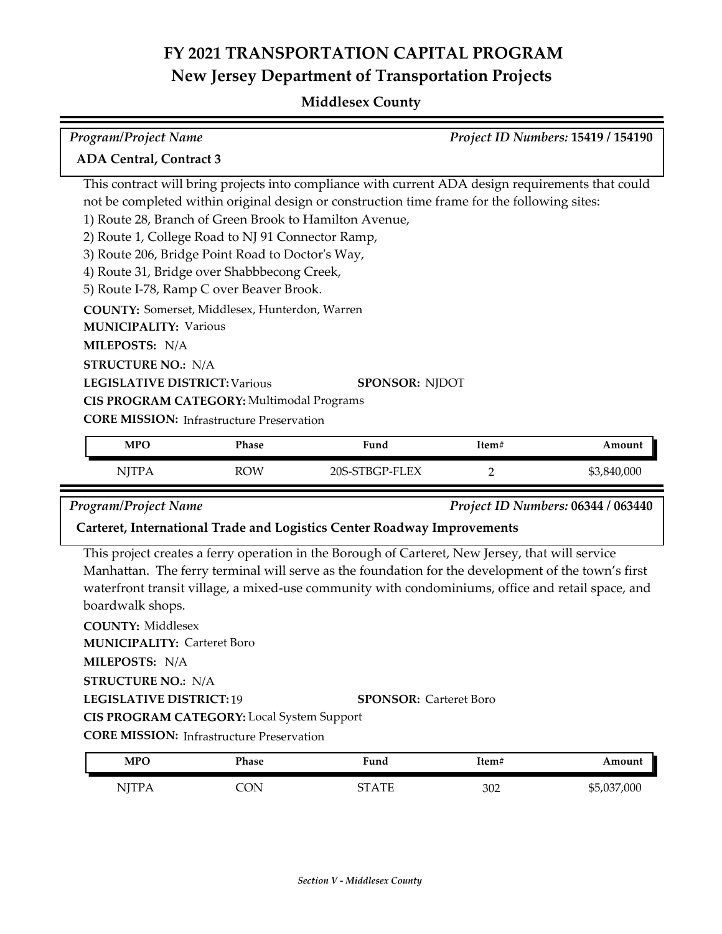#### **Middlesex County**

| <b>Program/Project Name</b>                            |              |                                                                                                   |       | <b>Project ID Numbers: 15419 / 154190</b> |
|--------------------------------------------------------|--------------|---------------------------------------------------------------------------------------------------|-------|-------------------------------------------|
| <b>ADA Central, Contract 3</b>                         |              |                                                                                                   |       |                                           |
|                                                        |              | This contract will bring projects into compliance with current ADA design requirements that could |       |                                           |
|                                                        |              | not be completed within original design or construction time frame for the following sites:       |       |                                           |
| 1) Route 28, Branch of Green Brook to Hamilton Avenue, |              |                                                                                                   |       |                                           |
| 2) Route 1, College Road to NJ 91 Connector Ramp,      |              |                                                                                                   |       |                                           |
| 3) Route 206, Bridge Point Road to Doctor's Way,       |              |                                                                                                   |       |                                           |
| 4) Route 31, Bridge over Shabbbecong Creek,            |              |                                                                                                   |       |                                           |
| 5) Route I-78, Ramp C over Beaver Brook.               |              |                                                                                                   |       |                                           |
| <b>COUNTY:</b> Somerset, Middlesex, Hunterdon, Warren  |              |                                                                                                   |       |                                           |
| <b>MUNICIPALITY: Various</b>                           |              |                                                                                                   |       |                                           |
| <b>MILEPOSTS: N/A</b>                                  |              |                                                                                                   |       |                                           |
| <b>STRUCTURE NO.: N/A</b>                              |              |                                                                                                   |       |                                           |
| <b>LEGISLATIVE DISTRICT: Various</b>                   |              | <b>SPONSOR: NJDOT</b>                                                                             |       |                                           |
| CIS PROGRAM CATEGORY: Multimodal Programs              |              |                                                                                                   |       |                                           |
| <b>CORE MISSION:</b> Infrastructure Preservation       |              |                                                                                                   |       |                                           |
| <b>MPO</b>                                             | <b>Phase</b> | Fund                                                                                              | Item# | Amount                                    |
|                                                        |              |                                                                                                   |       |                                           |
| <b>NJTPA</b>                                           | <b>ROW</b>   | 20S-STBGP-FLEX                                                                                    | 2     | \$3,840,000                               |

*Program/Project Name Project ID Numbers:* **06344 / 063440**

#### **Carteret, International Trade and Logistics Center Roadway Improvements**

This project creates a ferry operation in the Borough of Carteret, New Jersey, that will service Manhattan. The ferry terminal will serve as the foundation for the development of the town's first waterfront transit village, a mixed-use community with condominiums, office and retail space, and boardwalk shops.

**COUNTY:** Middlesex **LEGISLATIVE DISTRICT:** 19 **MILEPOSTS:** N/A **STRUCTURE NO.:** N/A **MUNICIPALITY: Carteret Boro SPONSOR:** Carteret Boro **CIS PROGRAM CATEGORY:** Local System Support

**CORE MISSION: Infrastructure Preservation** 

| <b>MPO</b>   | Phase | Fund  | Item# | Amount      |
|--------------|-------|-------|-------|-------------|
| <b>NJTPA</b> | CON   | STATE | 302   | \$5,037,000 |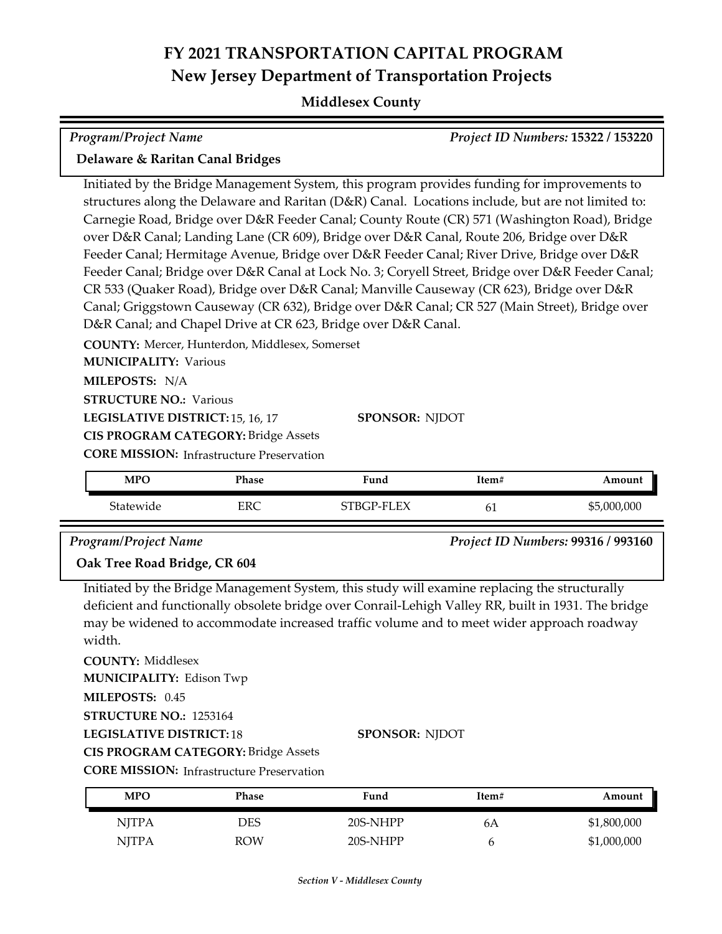#### **Middlesex County**

| Program/Project Name                                                                                                                                                                                                                                                                                                                                                                                                                                                                                                                                                                                                                                                                                                                                                                                                                                                                                                                            |                                                                                                                                                                                                                |      |       | Project ID Numbers: 15322 / 153220 |  |  |
|-------------------------------------------------------------------------------------------------------------------------------------------------------------------------------------------------------------------------------------------------------------------------------------------------------------------------------------------------------------------------------------------------------------------------------------------------------------------------------------------------------------------------------------------------------------------------------------------------------------------------------------------------------------------------------------------------------------------------------------------------------------------------------------------------------------------------------------------------------------------------------------------------------------------------------------------------|----------------------------------------------------------------------------------------------------------------------------------------------------------------------------------------------------------------|------|-------|------------------------------------|--|--|
| Delaware & Raritan Canal Bridges                                                                                                                                                                                                                                                                                                                                                                                                                                                                                                                                                                                                                                                                                                                                                                                                                                                                                                                |                                                                                                                                                                                                                |      |       |                                    |  |  |
| Initiated by the Bridge Management System, this program provides funding for improvements to<br>structures along the Delaware and Raritan (D&R) Canal. Locations include, but are not limited to:<br>Carnegie Road, Bridge over D&R Feeder Canal; County Route (CR) 571 (Washington Road), Bridge<br>over D&R Canal; Landing Lane (CR 609), Bridge over D&R Canal, Route 206, Bridge over D&R<br>Feeder Canal; Hermitage Avenue, Bridge over D&R Feeder Canal; River Drive, Bridge over D&R<br>Feeder Canal; Bridge over D&R Canal at Lock No. 3; Coryell Street, Bridge over D&R Feeder Canal;<br>CR 533 (Quaker Road), Bridge over D&R Canal; Manville Causeway (CR 623), Bridge over D&R<br>Canal; Griggstown Causeway (CR 632), Bridge over D&R Canal; CR 527 (Main Street), Bridge over<br>D&R Canal; and Chapel Drive at CR 623, Bridge over D&R Canal.<br>COUNTY: Mercer, Hunterdon, Middlesex, Somerset<br><b>MUNICIPALITY: Various</b> |                                                                                                                                                                                                                |      |       |                                    |  |  |
|                                                                                                                                                                                                                                                                                                                                                                                                                                                                                                                                                                                                                                                                                                                                                                                                                                                                                                                                                 | MILEPOSTS: N/A<br><b>STRUCTURE NO.: Various</b><br><b>SPONSOR: NJDOT</b><br>LEGISLATIVE DISTRICT: 15, 16, 17<br><b>CIS PROGRAM CATEGORY: Bridge Assets</b><br><b>CORE MISSION: Infrastructure Preservation</b> |      |       |                                    |  |  |
| <b>MPO</b>                                                                                                                                                                                                                                                                                                                                                                                                                                                                                                                                                                                                                                                                                                                                                                                                                                                                                                                                      | Phase                                                                                                                                                                                                          | Fund | Item# | Amount                             |  |  |
| Statewide                                                                                                                                                                                                                                                                                                                                                                                                                                                                                                                                                                                                                                                                                                                                                                                                                                                                                                                                       | <b>ERC</b><br>STBGP-FLEX<br>\$5,000,000<br>61                                                                                                                                                                  |      |       |                                    |  |  |
| <b>Program/Project Name</b><br>Oak Tree Road Bridge, CR 604                                                                                                                                                                                                                                                                                                                                                                                                                                                                                                                                                                                                                                                                                                                                                                                                                                                                                     |                                                                                                                                                                                                                |      |       | Project ID Numbers: 99316 / 993160 |  |  |

Initiated by the Bridge Management System, this study will examine replacing the structurally deficient and functionally obsolete bridge over Conrail-Lehigh Valley RR, built in 1931. The bridge may be widened to accommodate increased traffic volume and to meet wider approach roadway width.

**COUNTY:** Middlesex **MILEPOSTS:** 0.45 **STRUCTURE NO.:** 1253164 **MUNICIPALITY: Edison Twp** 

**LEGISLATIVE DISTRICT:** 18

**SPONSOR:** NJDOT

**CIS PROGRAM CATEGORY:** Bridge Assets

**CORE MISSION:** Infrastructure Preservation

| <b>MPO</b>   | Phase | Fund     | Item# | Amount      |
|--------------|-------|----------|-------|-------------|
| <b>NJTPA</b> | DES   | 20S-NHPP | 6A    | \$1,800,000 |
| <b>NJTPA</b> | ROW   | 20S-NHPP |       | \$1,000,000 |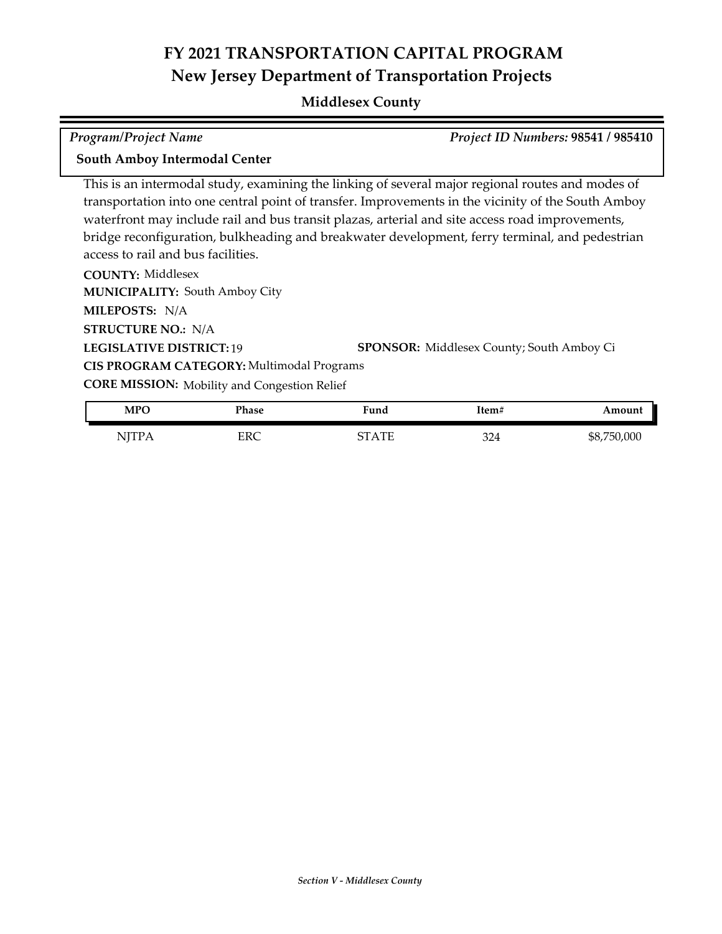#### **Middlesex County**

*Program/Project Name Project ID Numbers:* **98541 / 985410 South Amboy Intermodal Center**

This is an intermodal study, examining the linking of several major regional routes and modes of transportation into one central point of transfer. Improvements in the vicinity of the South Amboy waterfront may include rail and bus transit plazas, arterial and site access road improvements, bridge reconfiguration, bulkheading and breakwater development, ferry terminal, and pedestrian access to rail and bus facilities.

**COUNTY:** Middlesex **LEGISLATIVE DISTRICT:** 19 **SPONSOR:** Middlesex County; South Amboy Ci **MILEPOSTS:** N/A **STRUCTURE NO.:** N/A **MUNICIPALITY: South Amboy City CORE MISSION:** Mobility and Congestion Relief **LEGISLATIVE DISTRICT: 19 CIS PROGRAM CATEGORY:** Multimodal Programs

| <b>MPO</b>   | Phase | Fund       | Item#                        | <b>mount</b>   |
|--------------|-------|------------|------------------------------|----------------|
| . <i>.</i> . | ERC   | <b>TIT</b> | 22 <sub>0</sub><br>JZ4<br>__ | 750,000<br>\$8 |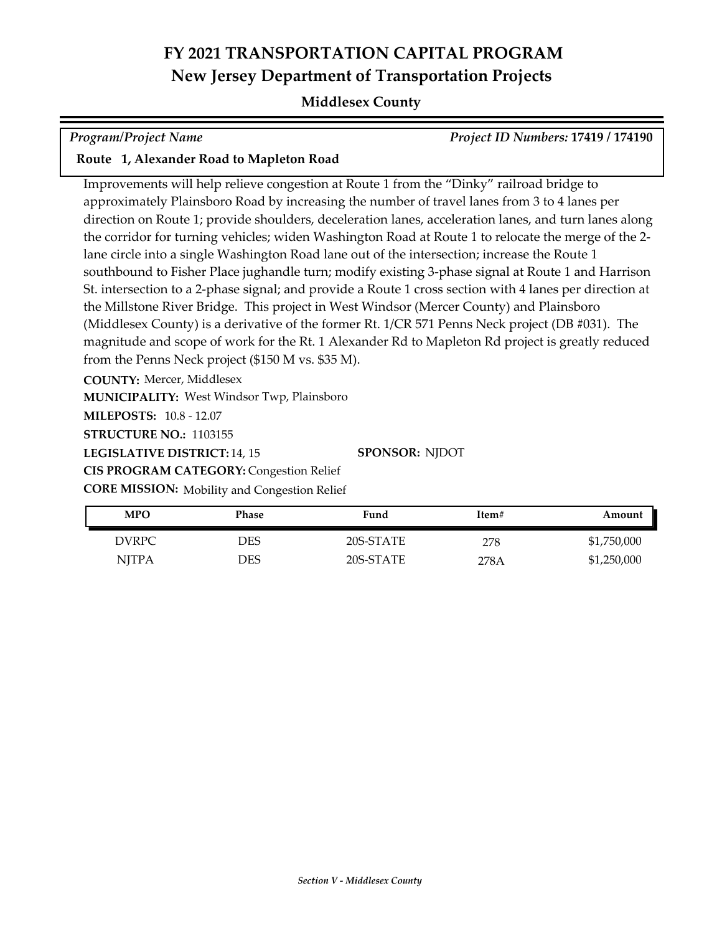#### **Middlesex County**

*Program/Project Name Project ID Numbers:* **17419 / 174190**

#### **Route 1, Alexander Road to Mapleton Road**

Improvements will help relieve congestion at Route 1 from the "Dinky" railroad bridge to approximately Plainsboro Road by increasing the number of travel lanes from 3 to 4 lanes per direction on Route 1; provide shoulders, deceleration lanes, acceleration lanes, and turn lanes along the corridor for turning vehicles; widen Washington Road at Route 1 to relocate the merge of the 2 lane circle into a single Washington Road lane out of the intersection; increase the Route 1 southbound to Fisher Place jughandle turn; modify existing 3-phase signal at Route 1 and Harrison St. intersection to a 2-phase signal; and provide a Route 1 cross section with 4 lanes per direction at the Millstone River Bridge. This project in West Windsor (Mercer County) and Plainsboro (Middlesex County) is a derivative of the former Rt. 1/CR 571 Penns Neck project (DB #031). The magnitude and scope of work for the Rt. 1 Alexander Rd to Mapleton Rd project is greatly reduced from the Penns Neck project (\$150 M vs. \$35 M).

**COUNTY:** Mercer, Middlesex

**MUNICIPALITY: West Windsor Twp, Plainsboro** 

**MILEPOSTS:** 10.8 - 12.07

**STRUCTURE NO.:** 1103155

LEGISLATIVE DISTRICT: 14, 15

**SPONSOR:** NJDOT

**CIS PROGRAM CATEGORY:** Congestion Relief

**CORE MISSION:** Mobility and Congestion Relief

| <b>MPO</b>   | Phase | Fund      | Item# | Amount      |
|--------------|-------|-----------|-------|-------------|
| DVRPC        | DES   | 20S-STATE | 278   | \$1,750,000 |
| <b>NJTPA</b> | DES   | 20S-STATE | 278A  | \$1,250,000 |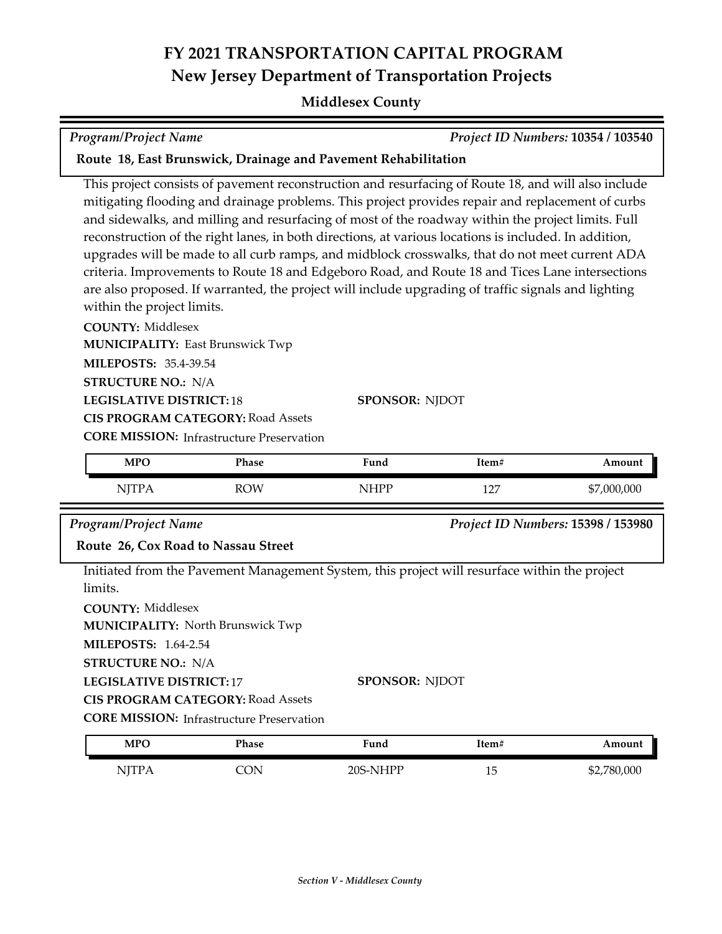#### **Middlesex County**

This project consists of pavement reconstruction and resurfacing of Route 18, and will also include mitigating flooding and drainage problems. This project provides repair and replacement of curbs and sidewalks, and milling and resurfacing of most of the roadway within the project limits. Full reconstruction of the right lanes, in both directions, at various locations is included. In addition,

| upgrades will be made to all curb ramps, and midblock crosswalks, that do not meet current ADA<br>within the project limits.<br><b>COUNTY: Middlesex</b><br><b>MILEPOSTS: 35.4-39.54</b><br><b>STRUCTURE NO.: N/A</b><br><b>LEGISLATIVE DISTRICT: 18</b> | criteria. Improvements to Route 18 and Edgeboro Road, and Route 18 and Tices Lane intersections<br>are also proposed. If warranted, the project will include upgrading of traffic signals and lighting<br><b>MUNICIPALITY: East Brunswick Twp</b> | <b>SPONSOR: NJDOT</b> |       |                                    |
|----------------------------------------------------------------------------------------------------------------------------------------------------------------------------------------------------------------------------------------------------------|---------------------------------------------------------------------------------------------------------------------------------------------------------------------------------------------------------------------------------------------------|-----------------------|-------|------------------------------------|
|                                                                                                                                                                                                                                                          | <b>CIS PROGRAM CATEGORY: Road Assets</b>                                                                                                                                                                                                          |                       |       |                                    |
|                                                                                                                                                                                                                                                          | <b>CORE MISSION:</b> Infrastructure Preservation                                                                                                                                                                                                  |                       |       |                                    |
| <b>MPO</b>                                                                                                                                                                                                                                               | Phase                                                                                                                                                                                                                                             | Fund                  | Item# | Amount                             |
| <b>NJTPA</b>                                                                                                                                                                                                                                             | <b>ROW</b>                                                                                                                                                                                                                                        | <b>NHPP</b>           | 127   | \$7,000,000                        |
| Program/Project Name                                                                                                                                                                                                                                     |                                                                                                                                                                                                                                                   |                       |       | Project ID Numbers: 15398 / 153980 |
|                                                                                                                                                                                                                                                          | Route 26, Cox Road to Nassau Street                                                                                                                                                                                                               |                       |       |                                    |
| limits.<br><b>COUNTY: Middlesex</b><br><b>MILEPOSTS: 1.64-2.54</b><br><b>STRUCTURE NO.: N/A</b>                                                                                                                                                          | Initiated from the Pavement Management System, this project will resurface within the project<br><b>MUNICIPALITY: North Brunswick Twp</b>                                                                                                         |                       |       |                                    |
| <b>LEGISLATIVE DISTRICT:17</b>                                                                                                                                                                                                                           | <b>CIS PROGRAM CATEGORY: Road Assets</b><br><b>CORE MISSION:</b> Infrastructure Preservation                                                                                                                                                      | <b>SPONSOR: NJDOT</b> |       |                                    |
| <b>MPO</b>                                                                                                                                                                                                                                               | Phase                                                                                                                                                                                                                                             | Fund                  | Item# | Amount                             |

**Route 18, East Brunswick, Drainage and Pavement Rehabilitation**

*Program/Project Name Project ID Numbers:* **10354 / 103540**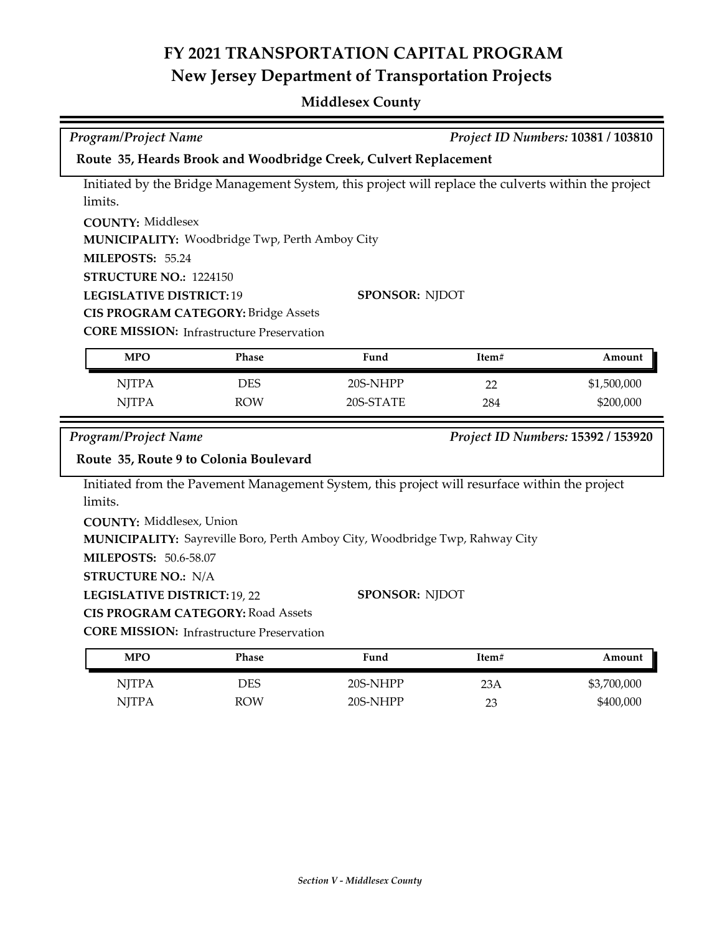## **Middlesex County**

| Project ID Numbers: 10381 / 103810<br><b>Program/Project Name</b> |                                                       |                                                                                                      |       |                                    |
|-------------------------------------------------------------------|-------------------------------------------------------|------------------------------------------------------------------------------------------------------|-------|------------------------------------|
|                                                                   |                                                       | Route 35, Heards Brook and Woodbridge Creek, Culvert Replacement                                     |       |                                    |
|                                                                   |                                                       | Initiated by the Bridge Management System, this project will replace the culverts within the project |       |                                    |
| limits.                                                           |                                                       |                                                                                                      |       |                                    |
| <b>COUNTY: Middlesex</b>                                          |                                                       |                                                                                                      |       |                                    |
|                                                                   | <b>MUNICIPALITY: Woodbridge Twp, Perth Amboy City</b> |                                                                                                      |       |                                    |
| MILEPOSTS: 55.24                                                  |                                                       |                                                                                                      |       |                                    |
| STRUCTURE NO.: 1224150                                            |                                                       |                                                                                                      |       |                                    |
| <b>LEGISLATIVE DISTRICT: 19</b>                                   |                                                       | <b>SPONSOR: NJDOT</b>                                                                                |       |                                    |
|                                                                   | <b>CIS PROGRAM CATEGORY: Bridge Assets</b>            |                                                                                                      |       |                                    |
|                                                                   | <b>CORE MISSION:</b> Infrastructure Preservation      |                                                                                                      |       |                                    |
| <b>MPO</b>                                                        | Phase                                                 | Fund                                                                                                 | Item# | Amount                             |
| <b>NJTPA</b>                                                      | <b>DES</b>                                            | 20S-NHPP                                                                                             | 22    | \$1,500,000                        |
| <b>NJTPA</b>                                                      | <b>ROW</b>                                            | 20S-STATE                                                                                            | 284   | \$200,000                          |
| <b>Program/Project Name</b>                                       |                                                       |                                                                                                      |       | Project ID Numbers: 15392 / 153920 |
|                                                                   | Route 35, Route 9 to Colonia Boulevard                |                                                                                                      |       |                                    |
|                                                                   |                                                       |                                                                                                      |       |                                    |
| limits.                                                           |                                                       | Initiated from the Pavement Management System, this project will resurface within the project        |       |                                    |
| <b>COUNTY: Middlesex, Union</b>                                   |                                                       |                                                                                                      |       |                                    |
|                                                                   |                                                       | MUNICIPALITY: Sayreville Boro, Perth Amboy City, Woodbridge Twp, Rahway City                         |       |                                    |
| <b>MILEPOSTS: 50.6-58.07</b>                                      |                                                       |                                                                                                      |       |                                    |
| <b>STRUCTURE NO.: N/A</b>                                         |                                                       |                                                                                                      |       |                                    |
| LEGISLATIVE DISTRICT: 19, 22                                      |                                                       | <b>SPONSOR: NJDOT</b>                                                                                |       |                                    |
|                                                                   | <b>CIS PROGRAM CATEGORY: Road Assets</b>              |                                                                                                      |       |                                    |
|                                                                   | <b>CORE MISSION:</b> Infrastructure Preservation      |                                                                                                      |       |                                    |
| <b>MPO</b>                                                        | Phase                                                 | Fund                                                                                                 | Item# | Amount                             |
| <b>NJTPA</b>                                                      | <b>DES</b>                                            | 20S-NHPP                                                                                             | 23A   | \$3,700,000                        |
| <b>NJTPA</b>                                                      | <b>ROW</b>                                            | 20S-NHPP                                                                                             | 23    | \$400,000                          |
|                                                                   |                                                       |                                                                                                      |       |                                    |
|                                                                   |                                                       |                                                                                                      |       |                                    |